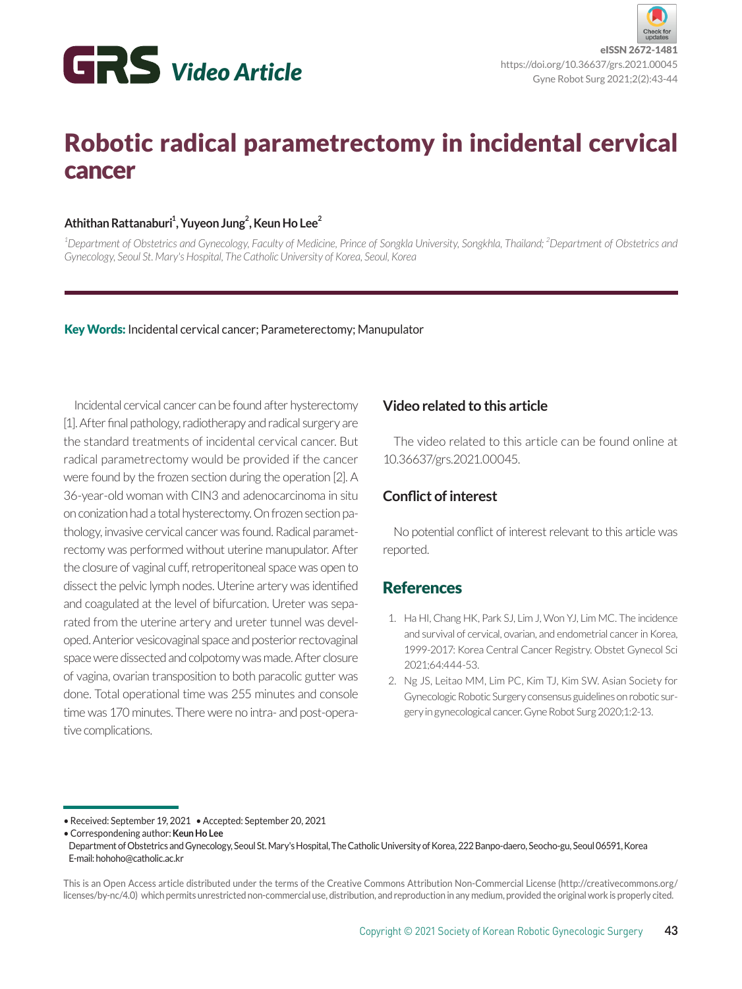

# Robotic radical parametrectomy in incidental cervical cancer

#### **Athithan Rattanaburi1 , Yuyeon Jung2 , Keun Ho Lee2**

<sup>1</sup>Department of Obstetrics and Gynecology, Faculty of Medicine, Prince of Songkla University, Songkhla, Thailand; <sup>2</sup>Department of Obstetrics and *Gynecology, Seoul St. Mary's Hospital, The Catholic University of Korea, Seoul, Korea*

Key Words: Incidental cervical cancer; Parameterectomy; Manupulator

Incidental cervical cancer can be found after hysterectomy [1]. After final pathology, radiotherapy and radical surgery are the standard treatments of incidental cervical cancer. But radical parametrectomy would be provided if the cancer were found by the frozen section during the operation [2]. A 36-year-old woman with CIN3 and adenocarcinoma in situ on conization had a total hysterectomy. On frozen section pathology, invasive cervical cancer was found. Radical parametrectomy was performed without uterine manupulator. After the closure of vaginal cuff, retroperitoneal space was open to dissect the pelvic lymph nodes. Uterine artery was identified and coagulated at the level of bifurcation. Ureter was separated from the uterine artery and ureter tunnel was developed. Anterior vesicovaginal space and posterior rectovaginal space were dissected and colpotomy was made. After closure of vagina, ovarian transposition to both paracolic gutter was done. Total operational time was 255 minutes and console time was 170 minutes. There were no intra- and post-operative complications.

### **Video related to this article**

The video related to this article can be found online at 10.36637/grs.2021.00045.

#### **Conflict of interest**

No potential conflict of interest relevant to this article was reported.

## **References**

- 1. Ha HI, Chang HK, Park SJ, Lim J, Won YJ, Lim MC. The incidence and survival of cervical, ovarian, and endometrial cancer in Korea, 1999-2017: Korea Central Cancer Registry. Obstet Gynecol Sci 2021;64:444-53.
- 2. Ng JS, Leitao MM, Lim PC, Kim TJ, Kim SW. Asian Society for Gynecologic Robotic Surgery consensus guidelines on robotic surgery in gynecological cancer. Gyne Robot Surg 2020;1:2-13.

Department of Obstetrics and Gynecology, Seoul St. Mary's Hospital, The Catholic University of Korea, 222 Banpo-daero, Seocho-gu, Seoul 06591, Korea E-mail: hohoho@catholic.ac.kr

This is an Open Access article distributed under the terms of the Creative Commons Attribution Non-Commercial License (http://creativecommons.org/ licenses/by-nc/4.0) which permits unrestricted non-commercial use, distribution, and reproduction in any medium, provided the original work is properly cited.

<sup>•</sup> Received: September 19, 2021 • Accepted: September 20, 2021

<sup>•</sup> Correspondening author: **Keun Ho Lee**